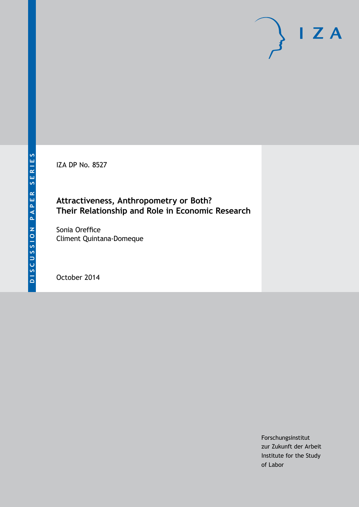IZA DP No. 8527

# **Attractiveness, Anthropometry or Both? Their Relationship and Role in Economic Research**

Sonia Oreffice Climent Quintana-Domeque

October 2014

Forschungsinstitut zur Zukunft der Arbeit Institute for the Study of Labor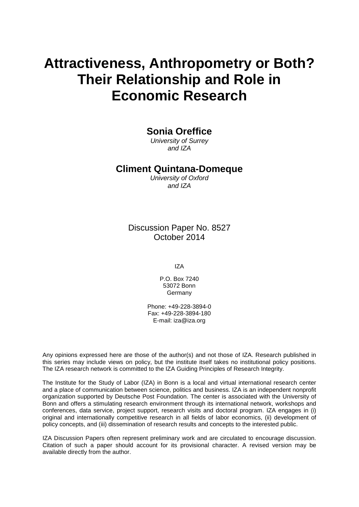# **Attractiveness, Anthropometry or Both? Their Relationship and Role in Economic Research**

# **Sonia Oreffice**

*University of Surrey and IZA*

## **Climent Quintana-Domeque**

*University of Oxford and IZA*

Discussion Paper No. 8527 October 2014

IZA

P.O. Box 7240 53072 Bonn **Germany** 

Phone: +49-228-3894-0 Fax: +49-228-3894-180 E-mail: [iza@iza.org](mailto:iza@iza.org)

Any opinions expressed here are those of the author(s) and not those of IZA. Research published in this series may include views on policy, but the institute itself takes no institutional policy positions. The IZA research network is committed to the IZA Guiding Principles of Research Integrity.

The Institute for the Study of Labor (IZA) in Bonn is a local and virtual international research center and a place of communication between science, politics and business. IZA is an independent nonprofit organization supported by Deutsche Post Foundation. The center is associated with the University of Bonn and offers a stimulating research environment through its international network, workshops and conferences, data service, project support, research visits and doctoral program. IZA engages in (i) original and internationally competitive research in all fields of labor economics, (ii) development of policy concepts, and (iii) dissemination of research results and concepts to the interested public.

<span id="page-1-0"></span>IZA Discussion Papers often represent preliminary work and are circulated to encourage discussion. Citation of such a paper should account for its provisional character. A revised version may be available directly from the author.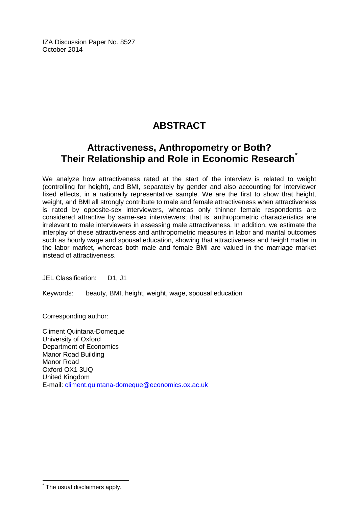IZA Discussion Paper No. 8527 October 2014

# **ABSTRACT**

# **Attractiveness, Anthropometry or Both? Their Relationship and Role in Economic Research[\\*](#page-1-0)**

We analyze how attractiveness rated at the start of the interview is related to weight (controlling for height), and BMI, separately by gender and also accounting for interviewer fixed effects, in a nationally representative sample. We are the first to show that height, weight, and BMI all strongly contribute to male and female attractiveness when attractiveness is rated by opposite-sex interviewers, whereas only thinner female respondents are considered attractive by same-sex interviewers; that is, anthropometric characteristics are irrelevant to male interviewers in assessing male attractiveness. In addition, we estimate the interplay of these attractiveness and anthropometric measures in labor and marital outcomes such as hourly wage and spousal education, showing that attractiveness and height matter in the labor market, whereas both male and female BMI are valued in the marriage market instead of attractiveness.

JEL Classification: D1, J1

Keywords: beauty, BMI, height, weight, wage, spousal education

Corresponding author:

Climent Quintana-Domeque University of Oxford Department of Economics Manor Road Building Manor Road Oxford OX1 3UQ United Kingdom E-mail: [climent.quintana-domeque@economics.ox.ac.uk](mailto:climent.quintana-domeque@economics.ox.ac.uk)

The usual disclaimers apply.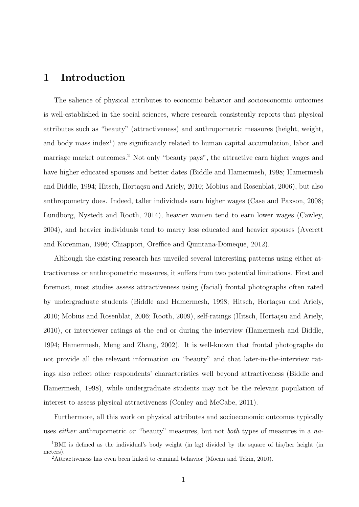# 1 Introduction

The salience of physical attributes to economic behavior and socioeconomic outcomes is well-established in the social sciences, where research consistently reports that physical attributes such as "beauty" (attractiveness) and anthropometric measures (height, weight, and body mass index<sup>1</sup>) are significantly related to human capital accumulation, labor and marriage market outcomes.<sup>2</sup> Not only "beauty pays", the attractive earn higher wages and have higher educated spouses and better dates (Biddle and Hamermesh, 1998; Hamermesh and Biddle, 1994; Hitsch, Hortaçsu and Ariely, 2010; Mobius and Rosenblat, 2006), but also anthropometry does. Indeed, taller individuals earn higher wages (Case and Paxson, 2008; Lundborg, Nystedt and Rooth, 2014), heavier women tend to earn lower wages (Cawley, 2004), and heavier individuals tend to marry less educated and heavier spouses (Averett and Korenman, 1996; Chiappori, Oreffice and Quintana-Domeque, 2012).

Although the existing research has unveiled several interesting patterns using either attractiveness or anthropometric measures, it suffers from two potential limitations. First and foremost, most studies assess attractiveness using (facial) frontal photographs often rated by undergraduate students (Biddle and Hamermesh, 1998; Hitsch, Hortaçsu and Ariely, 2010; Mobius and Rosenblat, 2006; Rooth, 2009), self-ratings (Hitsch, Hortacsu and Ariely, 2010), or interviewer ratings at the end or during the interview (Hamermesh and Biddle, 1994; Hamermesh, Meng and Zhang, 2002). It is well-known that frontal photographs do not provide all the relevant information on "beauty" and that later-in-the-interview ratings also reflect other respondents' characteristics well beyond attractiveness (Biddle and Hamermesh, 1998), while undergraduate students may not be the relevant population of interest to assess physical attractiveness (Conley and McCabe, 2011).

Furthermore, all this work on physical attributes and socioeconomic outcomes typically uses *either* anthropometric *or* "beauty" measures, but not *both* types of measures in a na-

<sup>&</sup>lt;sup>1</sup>BMI is defined as the individual's body weight (in kg) divided by the square of his/her height (in meters).

<sup>&</sup>lt;sup>2</sup>Attractiveness has even been linked to criminal behavior (Mocan and Tekin, 2010).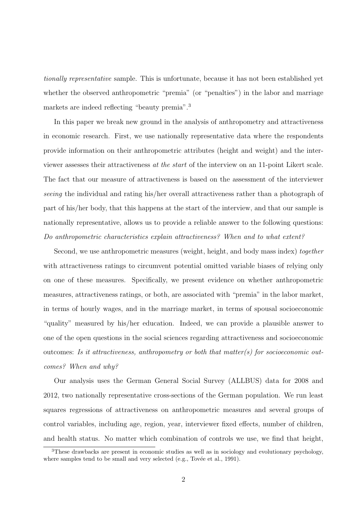tionally representative sample. This is unfortunate, because it has not been established yet whether the observed anthropometric "premia" (or "penalties") in the labor and marriage markets are indeed reflecting "beauty premia".<sup>3</sup>

In this paper we break new ground in the analysis of anthropometry and attractiveness in economic research. First, we use nationally representative data where the respondents provide information on their anthropometric attributes (height and weight) and the interviewer assesses their attractiveness at the start of the interview on an 11-point Likert scale. The fact that our measure of attractiveness is based on the assessment of the interviewer seeing the individual and rating his/her overall attractiveness rather than a photograph of part of his/her body, that this happens at the start of the interview, and that our sample is nationally representative, allows us to provide a reliable answer to the following questions: Do anthropometric characteristics explain attractiveness? When and to what extent?

Second, we use anthropometric measures (weight, height, and body mass index) together with attractiveness ratings to circumvent potential omitted variable biases of relying only on one of these measures. Specifically, we present evidence on whether anthropometric measures, attractiveness ratings, or both, are associated with "premia" in the labor market, in terms of hourly wages, and in the marriage market, in terms of spousal socioeconomic "quality" measured by his/her education. Indeed, we can provide a plausible answer to one of the open questions in the social sciences regarding attractiveness and socioeconomic outcomes: Is it attractiveness, anthropometry or both that matter(s) for socioeconomic outcomes? When and why?

Our analysis uses the German General Social Survey (ALLBUS) data for 2008 and 2012, two nationally representative cross-sections of the German population. We run least squares regressions of attractiveness on anthropometric measures and several groups of control variables, including age, region, year, interviewer fixed effects, number of children, and health status. No matter which combination of controls we use, we find that height,

<sup>3</sup>These drawbacks are present in economic studies as well as in sociology and evolutionary psychology, where samples tend to be small and very selected  $(e.g., Tov\acute{e}e$  et al., 1991).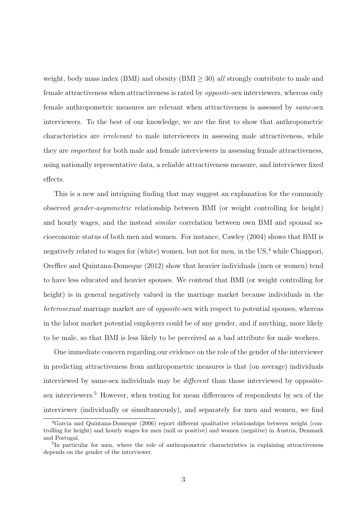weight, body mass index (BMI) and obesity (BMI  $>$  30) all strongly contribute to male and female attractiveness when attractiveness is rated by opposite-sex interviewers, whereas only female anthropometric measures are relevant when attractiveness is assessed by same-sex interviewers. To the best of our knowledge, we are the first to show that anthropometric characteristics are irrelevant to male interviewers in assessing male attractiveness, while they are important for both male and female interviewers in assessing female attractiveness, using nationally representative data, a reliable attractiveness measure, and interviewer fixed effects.

This is a new and intriguing finding that may suggest an explanation for the commonly observed gender-asymmetric relationship between BMI (or weight controlling for height) and hourly wages, and the instead similar correlation between own BMI and spousal socioeconomic status of both men and women. For instance, Cawley (2004) shows that BMI is negatively related to wages for (white) women, but not for men, in the US,<sup>4</sup> while Chiappori, Oreffice and Quintana-Domeque (2012) show that heavier individuals (men or women) tend to have less educated and heavier spouses. We contend that BMI (or weight controlling for height) is in general negatively valued in the marriage market because individuals in the heterosexual marriage market are of *opposite-sex* with respect to potential spouses, whereas in the labor market potential employers could be of any gender, and if anything, more likely to be male, so that BMI is less likely to be perceived as a bad attribute for male workers.

One immediate concern regarding our evidence on the role of the gender of the interviewer in predicting attractiveness from anthropometric measures is that (on average) individuals interviewed by same-sex individuals may be *different* than those interviewed by oppositesex interviewers.<sup>5</sup> However, when testing for mean differences of respondents by sex of the interviewer (individually or simultaneously), and separately for men and women, we find

<sup>4</sup>Garcia and Quintana-Domeque (2006) report different qualitative relationships between weight (controlling for height) and hourly wages for men (null or positive) and women (negative) in Austria, Denmark and Portugal.

<sup>&</sup>lt;sup>5</sup>In particular for men, where the role of anthropometric characteristics in explaining attractiveness depends on the gender of the interviewer.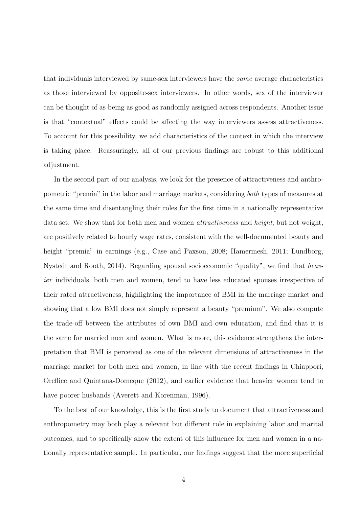that individuals interviewed by same-sex interviewers have the same average characteristics as those interviewed by opposite-sex interviewers. In other words, sex of the interviewer can be thought of as being as good as randomly assigned across respondents. Another issue is that "contextual" effects could be affecting the way interviewers assess attractiveness. To account for this possibility, we add characteristics of the context in which the interview is taking place. Reassuringly, all of our previous findings are robust to this additional adjustment.

In the second part of our analysis, we look for the presence of attractiveness and anthropometric "premia" in the labor and marriage markets, considering both types of measures at the same time and disentangling their roles for the first time in a nationally representative data set. We show that for both men and women attractiveness and height, but not weight, are positively related to hourly wage rates, consistent with the well-documented beauty and height "premia" in earnings (e.g., Case and Paxson, 2008; Hamermesh, 2011; Lundborg, Nystedt and Rooth, 2014). Regarding spousal socioeconomic "quality", we find that heavier individuals, both men and women, tend to have less educated spouses irrespective of their rated attractiveness, highlighting the importance of BMI in the marriage market and showing that a low BMI does not simply represent a beauty "premium". We also compute the trade-off between the attributes of own BMI and own education, and find that it is the same for married men and women. What is more, this evidence strengthens the interpretation that BMI is perceived as one of the relevant dimensions of attractiveness in the marriage market for both men and women, in line with the recent findings in Chiappori, Oreffice and Quintana-Domeque (2012), and earlier evidence that heavier women tend to have poorer husbands (Averett and Korenman, 1996).

To the best of our knowledge, this is the first study to document that attractiveness and anthropometry may both play a relevant but different role in explaining labor and marital outcomes, and to specifically show the extent of this influence for men and women in a nationally representative sample. In particular, our findings suggest that the more superficial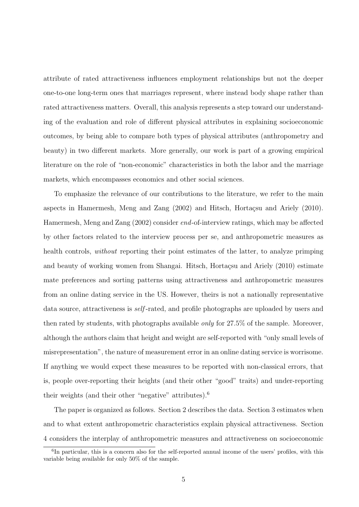attribute of rated attractiveness influences employment relationships but not the deeper one-to-one long-term ones that marriages represent, where instead body shape rather than rated attractiveness matters. Overall, this analysis represents a step toward our understanding of the evaluation and role of different physical attributes in explaining socioeconomic outcomes, by being able to compare both types of physical attributes (anthropometry and beauty) in two different markets. More generally, our work is part of a growing empirical literature on the role of "non-economic" characteristics in both the labor and the marriage markets, which encompasses economics and other social sciences.

To emphasize the relevance of our contributions to the literature, we refer to the main aspects in Hamermesh, Meng and Zang  $(2002)$  and Hitsch, Hortaçsu and Ariely  $(2010)$ . Hamermesh, Meng and Zang (2002) consider end-of-interview ratings, which may be affected by other factors related to the interview process per se, and anthropometric measures as health controls, *without* reporting their point estimates of the latter, to analyze primping and beauty of working women from Shangai. Hitsch, Hortaçsu and Ariely (2010) estimate mate preferences and sorting patterns using attractiveness and anthropometric measures from an online dating service in the US. However, theirs is not a nationally representative data source, attractiveness is *self*-rated, and profile photographs are uploaded by users and then rated by students, with photographs available only for 27.5% of the sample. Moreover, although the authors claim that height and weight are self-reported with "only small levels of misrepresentation", the nature of measurement error in an online dating service is worrisome. If anything we would expect these measures to be reported with non-classical errors, that is, people over-reporting their heights (and their other "good" traits) and under-reporting their weights (and their other "negative" attributes).<sup>6</sup>

The paper is organized as follows. Section 2 describes the data. Section 3 estimates when and to what extent anthropometric characteristics explain physical attractiveness. Section 4 considers the interplay of anthropometric measures and attractiveness on socioeconomic

<sup>6</sup> In particular, this is a concern also for the self-reported annual income of the users' profiles, with this variable being available for only 50% of the sample.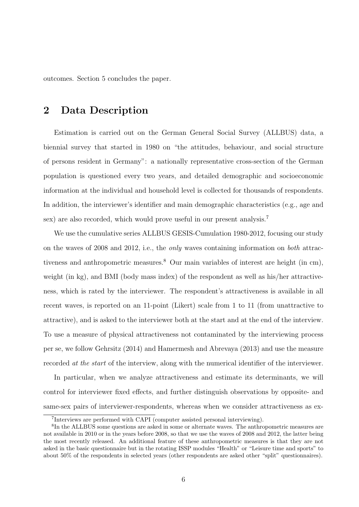outcomes. Section 5 concludes the paper.

## 2 Data Description

Estimation is carried out on the German General Social Survey (ALLBUS) data, a biennial survey that started in 1980 on "the attitudes, behaviour, and social structure of persons resident in Germany": a nationally representative cross-section of the German population is questioned every two years, and detailed demographic and socioeconomic information at the individual and household level is collected for thousands of respondents. In addition, the interviewer's identifier and main demographic characteristics (e.g., age and sex) are also recorded, which would prove useful in our present analysis.<sup>7</sup>

We use the cumulative series ALLBUS GESIS-Cumulation 1980-2012, focusing our study on the waves of 2008 and 2012, i.e., the only waves containing information on both attractiveness and anthropometric measures.<sup>8</sup> Our main variables of interest are height (in cm), weight (in kg), and BMI (body mass index) of the respondent as well as his/her attractiveness, which is rated by the interviewer. The respondent's attractiveness is available in all recent waves, is reported on an 11-point (Likert) scale from 1 to 11 (from unattractive to attractive), and is asked to the interviewer both at the start and at the end of the interview. To use a measure of physical attractiveness not contaminated by the interviewing process per se, we follow Gehrsitz (2014) and Hamermesh and Abrevaya (2013) and use the measure recorded at the start of the interview, along with the numerical identifier of the interviewer.

In particular, when we analyze attractiveness and estimate its determinants, we will control for interviewer fixed effects, and further distinguish observations by opposite- and same-sex pairs of interviewer-respondents, whereas when we consider attractiveness as ex-

<sup>7</sup> Interviews are performed with CAPI (computer assisted personal interviewing).

<sup>&</sup>lt;sup>8</sup>In the ALLBUS some questions are asked in some or alternate waves. The anthropometric measures are not available in 2010 or in the years before 2008, so that we use the waves of 2008 and 2012, the latter being the most recently released. An additional feature of these anthropometric measures is that they are not asked in the basic questionnaire but in the rotating ISSP modules "Health" or "Leisure time and sports" to about 50% of the respondents in selected years (other respondents are asked other "split" questionnaires).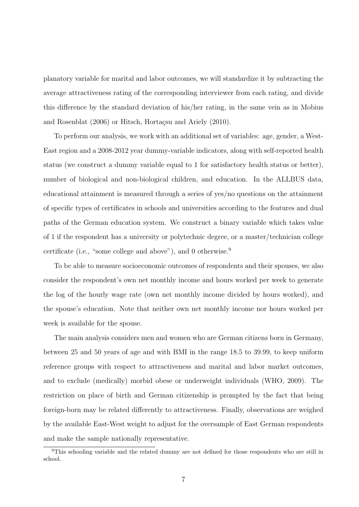planatory variable for marital and labor outcomes, we will standardize it by subtracting the average attractiveness rating of the corresponding interviewer from each rating, and divide this difference by the standard deviation of his/her rating, in the same vein as in Mobius and Rosenblat (2006) or Hitsch, Hortaçsu and Ariely (2010).

To perform our analysis, we work with an additional set of variables: age, gender, a West-East region and a 2008-2012 year dummy-variable indicators, along with self-reported health status (we construct a dummy variable equal to 1 for satisfactory health status or better), number of biological and non-biological children, and education. In the ALLBUS data, educational attainment is measured through a series of yes/no questions on the attainment of specific types of certificates in schools and universities according to the features and dual paths of the German education system. We construct a binary variable which takes value of 1 if the respondent has a university or polytechnic degree, or a master/technician college certificate (i.e., "some college and above"), and 0 otherwise.<sup>9</sup>

To be able to measure socioeconomic outcomes of respondents and their spouses, we also consider the respondent's own net monthly income and hours worked per week to generate the log of the hourly wage rate (own net monthly income divided by hours worked), and the spouse's education. Note that neither own net monthly income nor hours worked per week is available for the spouse.

The main analysis considers men and women who are German citizens born in Germany, between 25 and 50 years of age and with BMI in the range 18.5 to 39.99, to keep uniform reference groups with respect to attractiveness and marital and labor market outcomes, and to exclude (medically) morbid obese or underweight individuals (WHO, 2009). The restriction on place of birth and German citizenship is prompted by the fact that being foreign-born may be related differently to attractiveness. Finally, observations are weighed by the available East-West weight to adjust for the oversample of East German respondents and make the sample nationally representative.

<sup>&</sup>lt;sup>9</sup>This schooling variable and the related dummy are not defined for those respondents who are still in school.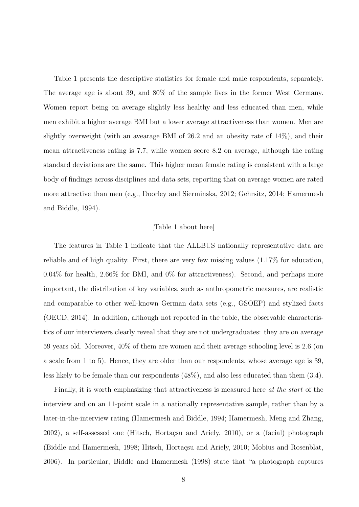Table 1 presents the descriptive statistics for female and male respondents, separately. The average age is about 39, and 80% of the sample lives in the former West Germany. Women report being on average slightly less healthy and less educated than men, while men exhibit a higher average BMI but a lower average attractiveness than women. Men are slightly overweight (with an avearage BMI of 26.2 and an obesity rate of 14%), and their mean attractiveness rating is 7.7, while women score 8.2 on average, although the rating standard deviations are the same. This higher mean female rating is consistent with a large body of findings across disciplines and data sets, reporting that on average women are rated more attractive than men (e.g., Doorley and Sierminska, 2012; Gehrsitz, 2014; Hamermesh and Biddle, 1994).

#### [Table 1 about here]

The features in Table 1 indicate that the ALLBUS nationally representative data are reliable and of high quality. First, there are very few missing values (1.17% for education, 0.04% for health, 2.66% for BMI, and 0% for attractiveness). Second, and perhaps more important, the distribution of key variables, such as anthropometric measures, are realistic and comparable to other well-known German data sets (e.g., GSOEP) and stylized facts (OECD, 2014). In addition, although not reported in the table, the observable characteristics of our interviewers clearly reveal that they are not undergraduates: they are on average 59 years old. Moreover, 40% of them are women and their average schooling level is 2.6 (on a scale from 1 to 5). Hence, they are older than our respondents, whose average age is 39, less likely to be female than our respondents (48%), and also less educated than them (3.4).

Finally, it is worth emphasizing that attractiveness is measured here at the start of the interview and on an 11-point scale in a nationally representative sample, rather than by a later-in-the-interview rating (Hamermesh and Biddle, 1994; Hamermesh, Meng and Zhang,  $2002$ , a self-assessed one (Hitsch, Hortaçsu and Ariely,  $2010$ ), or a (facial) photograph (Biddle and Hamermesh, 1998; Hitsch, Hortaçsu and Ariely, 2010; Mobius and Rosenblat, 2006). In particular, Biddle and Hamermesh (1998) state that "a photograph captures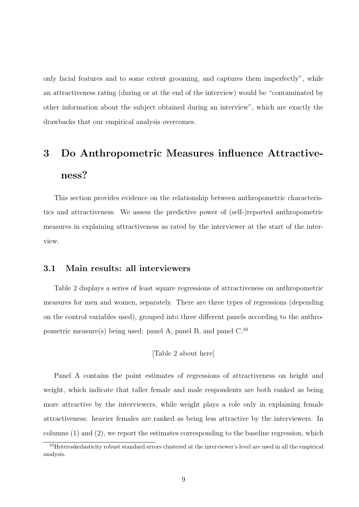only facial features and to some extent grooming, and captures them imperfectly", while an attractiveness rating (during or at the end of the interview) would be "contaminated by other information about the subject obtained during an interview", which are exactly the drawbacks that our empirical analysis overcomes.

# 3 Do Anthropometric Measures influence Attractiveness?

This section provides evidence on the relationship between anthropometric characteristics and attractiveness. We assess the predictive power of (self-)reported anthropometric measures in explaining attractiveness as rated by the interviewer at the start of the interview.

## 3.1 Main results: all interviewers

Table 2 displays a series of least square regressions of attractiveness on anthropometric measures for men and women, separately. There are three types of regressions (depending on the control variables used), grouped into three different panels according to the anthropometric measure(s) being used: panel A, panel B, and panel C.<sup>10</sup>

## [Table 2 about here]

Panel A contains the point estimates of regressions of attractiveness on height and weight, which indicate that taller female and male respondents are both ranked as being more attractive by the interviewers, while weight plays a role only in explaining female attractiveness: heavier females are ranked as being less attractive by the interviewers. In columns (1) and (2), we report the estimates corresponding to the baseline regression, which

<sup>10</sup>Heteroskedasticity robust standard errors clustered at the interviewer's level are used in all the empirical analysis.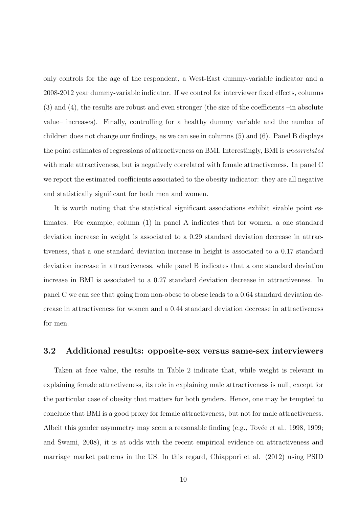only controls for the age of the respondent, a West-East dummy-variable indicator and a 2008-2012 year dummy-variable indicator. If we control for interviewer fixed effects, columns (3) and (4), the results are robust and even stronger (the size of the coefficients –in absolute value– increases). Finally, controlling for a healthy dummy variable and the number of children does not change our findings, as we can see in columns (5) and (6). Panel B displays the point estimates of regressions of attractiveness on BMI. Interestingly, BMI is uncorrelated with male attractiveness, but is negatively correlated with female attractiveness. In panel C we report the estimated coefficients associated to the obesity indicator: they are all negative and statistically significant for both men and women.

It is worth noting that the statistical significant associations exhibit sizable point estimates. For example, column (1) in panel A indicates that for women, a one standard deviation increase in weight is associated to a 0.29 standard deviation decrease in attractiveness, that a one standard deviation increase in height is associated to a 0.17 standard deviation increase in attractiveness, while panel B indicates that a one standard deviation increase in BMI is associated to a 0.27 standard deviation decrease in attractiveness. In panel C we can see that going from non-obese to obese leads to a 0.64 standard deviation decrease in attractiveness for women and a 0.44 standard deviation decrease in attractiveness for men.

## 3.2 Additional results: opposite-sex versus same-sex interviewers

Taken at face value, the results in Table 2 indicate that, while weight is relevant in explaining female attractiveness, its role in explaining male attractiveness is null, except for the particular case of obesity that matters for both genders. Hence, one may be tempted to conclude that BMI is a good proxy for female attractiveness, but not for male attractiveness. Albeit this gender asymmetry may seem a reasonable finding  $(e.g., Tov\acute{e}e$  et al., 1998, 1999; and Swami, 2008), it is at odds with the recent empirical evidence on attractiveness and marriage market patterns in the US. In this regard, Chiappori et al. (2012) using PSID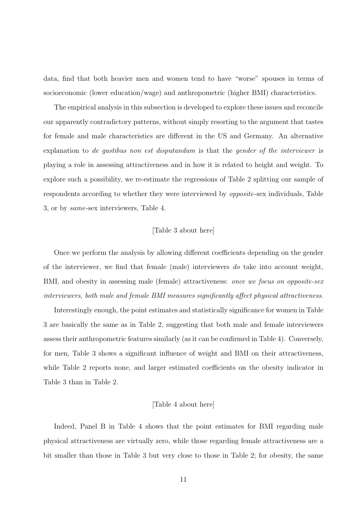data, find that both heavier men and women tend to have "worse" spouses in terms of socioeconomic (lower education/wage) and anthropometric (higher BMI) characteristics.

The empirical analysis in this subsection is developed to explore these issues and reconcile our apparently contradictory patterns, without simply resorting to the argument that tastes for female and male characteristics are different in the US and Germany. An alternative explanation to de gustibus non est disputandum is that the gender of the interviewer is playing a role in assessing attractiveness and in how it is related to height and weight. To explore such a possibility, we re-estimate the regressions of Table 2 splitting our sample of respondents according to whether they were interviewed by opposite-sex individuals, Table 3, or by same-sex interviewers, Table 4.

### [Table 3 about here]

Once we perform the analysis by allowing different coefficients depending on the gender of the interviewer, we find that female (male) interviewers do take into account weight, BMI, and obesity in assessing male (female) attractiveness: once we focus on opposite-sex interviewers, both male and female BMI measures significantly affect physical attractiveness.

Interestingly enough, the point estimates and statistically significance for women in Table 3 are basically the same as in Table 2, suggesting that both male and female interviewers assess their anthropometric features similarly (as it can be confirmed in Table 4). Conversely, for men, Table 3 shows a significant influence of weight and BMI on their attractiveness, while Table 2 reports none, and larger estimated coefficients on the obesity indicator in Table 3 than in Table 2.

#### [Table 4 about here]

Indeed, Panel B in Table 4 shows that the point estimates for BMI regarding male physical attractiveness are virtually zero, while those regarding female attractiveness are a bit smaller than those in Table 3 but very close to those in Table 2; for obesity, the same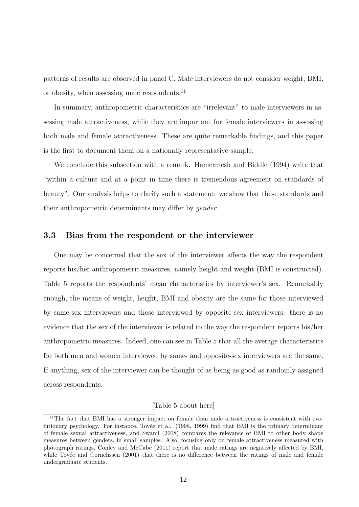patterns of results are observed in panel C. Male interviewers do not consider weight, BMI, or obesity, when assessing male respondents.<sup>11</sup>

In summary, anthropometric characteristics are "irrelevant" to male interviewers in assessing male attractiveness, while they are important for female interviewers in assessing both male and female attractiveness. These are quite remarkable findings, and this paper is the first to document them on a nationally representative sample.

We conclude this subsection with a remark. Hamermesh and Biddle (1994) write that "within a culture and at a point in time there is tremendous agreement on standards of beauty". Our analysis helps to clarify such a statement: we show that these standards and their anthropometric determinants may differ by gender.

## 3.3 Bias from the respondent or the interviewer

One may be concerned that the sex of the interviewer affects the way the respondent reports his/her anthropometric measures, namely height and weight (BMI is constructed). Table 5 reports the respondents' mean characteristics by interviewer's sex. Remarkably enough, the means of weight, height, BMI and obesity are the same for those interviewed by same-sex interviewers and those interviewed by opposite-sex interviewers: there is no evidence that the sex of the interviewer is related to the way the respondent reports his/her anthropometric measures. Indeed, one can see in Table 5 that all the average characteristics for both men and women interviewed by same- and opposite-sex interviewers are the same. If anything, sex of the interviewer can be thought of as being as good as randomly assigned across respondents.

### [Table 5 about here]

 $11$ The fact that BMI has a stronger impact on female than male attractiveness is consistent with evolutionary psychology. For instance, Tovée et al. (1998, 1999) find that BMI is the primary determinant of female sexual attractiveness, and Swami (2008) compares the relevance of BMI to other body shape measures between genders, in small samples. Also, focusing only on female attractiveness measured with photograph ratings, Conley and McCabe (2011) report that male ratings are negatively affected by BMI, while Tovée and Cornelissen (2001) that there is no difference between the ratings of male and female undergraduate students.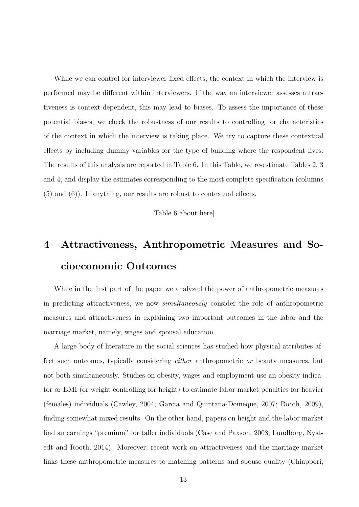While we can control for interviewer fixed effects, the context in which the interview is performed may be different within interviewers. If the way an interviewer assesses attractiveness is context-dependent, this may lead to biases. To assess the importance of these potential biases, we check the robustness of our results to controlling for characteristics of the context in which the interview is taking place. We try to capture these contextual effects by including dummy variables for the type of building where the respondent lives. The results of this analysis are reported in Table 6. In this Table, we re-estimate Tables 2, 3 and 4, and display the estimates corresponding to the most complete specification (columns (5) and (6)). If anything, our results are robust to contextual effects.

[Table 6 about here]

# 4 Attractiveness, Anthropometric Measures and Socioeconomic Outcomes

While in the first part of the paper we analyzed the power of anthropometric measures in predicting attractiveness, we now simultaneously consider the role of anthropometric measures and attractiveness in explaining two important outcomes in the labor and the marriage market, namely, wages and spousal education.

A large body of literature in the social sciences has studied how physical attributes affect such outcomes, typically considering either anthropometric or beauty measures, but not both simultaneously. Studies on obesity, wages and employment use an obesity indicator or BMI (or weight controlling for height) to estimate labor market penalties for heavier (females) individuals (Cawley, 2004; Garcia and Quintana-Domeque, 2007; Rooth, 2009), finding somewhat mixed results. On the other hand, papers on height and the labor market find an earnings "premium" for taller individuals (Case and Paxson, 2008; Lundborg, Nystedt and Rooth, 2014). Moreover, recent work on attractiveness and the marriage market links these anthropometric measures to matching patterns and spouse quality (Chiappori,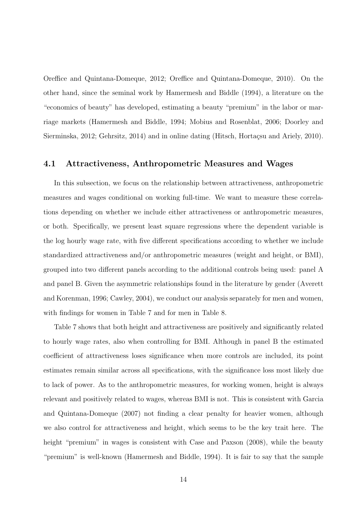Oreffice and Quintana-Domeque, 2012; Oreffice and Quintana-Domeque, 2010). On the other hand, since the seminal work by Hamermesh and Biddle (1994), a literature on the "economics of beauty" has developed, estimating a beauty "premium" in the labor or marriage markets (Hamermesh and Biddle, 1994; Mobius and Rosenblat, 2006; Doorley and Sierminska, 2012; Gehrsitz, 2014) and in online dating (Hitsch, Hortaçsu and Ariely, 2010).

### 4.1 Attractiveness, Anthropometric Measures and Wages

In this subsection, we focus on the relationship between attractiveness, anthropometric measures and wages conditional on working full-time. We want to measure these correlations depending on whether we include either attractiveness or anthropometric measures, or both. Specifically, we present least square regressions where the dependent variable is the log hourly wage rate, with five different specifications according to whether we include standardized attractiveness and/or anthropometric measures (weight and height, or BMI), grouped into two different panels according to the additional controls being used: panel A and panel B. Given the asymmetric relationships found in the literature by gender (Averett and Korenman, 1996; Cawley, 2004), we conduct our analysis separately for men and women, with findings for women in Table 7 and for men in Table 8.

Table 7 shows that both height and attractiveness are positively and significantly related to hourly wage rates, also when controlling for BMI. Although in panel B the estimated coefficient of attractiveness loses significance when more controls are included, its point estimates remain similar across all specifications, with the significance loss most likely due to lack of power. As to the anthropometric measures, for working women, height is always relevant and positively related to wages, whereas BMI is not. This is consistent with Garcia and Quintana-Domeque (2007) not finding a clear penalty for heavier women, although we also control for attractiveness and height, which seems to be the key trait here. The height "premium" in wages is consistent with Case and Paxson (2008), while the beauty "premium" is well-known (Hamermesh and Biddle, 1994). It is fair to say that the sample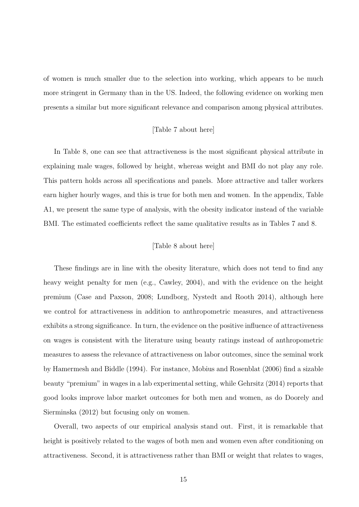of women is much smaller due to the selection into working, which appears to be much more stringent in Germany than in the US. Indeed, the following evidence on working men presents a similar but more significant relevance and comparison among physical attributes.

## [Table 7 about here]

In Table 8, one can see that attractiveness is the most significant physical attribute in explaining male wages, followed by height, whereas weight and BMI do not play any role. This pattern holds across all specifications and panels. More attractive and taller workers earn higher hourly wages, and this is true for both men and women. In the appendix, Table A1, we present the same type of analysis, with the obesity indicator instead of the variable BMI. The estimated coefficients reflect the same qualitative results as in Tables 7 and 8.

### [Table 8 about here]

These findings are in line with the obesity literature, which does not tend to find any heavy weight penalty for men (e.g., Cawley, 2004), and with the evidence on the height premium (Case and Paxson, 2008; Lundborg, Nystedt and Rooth 2014), although here we control for attractiveness in addition to anthropometric measures, and attractiveness exhibits a strong significance. In turn, the evidence on the positive influence of attractiveness on wages is consistent with the literature using beauty ratings instead of anthropometric measures to assess the relevance of attractiveness on labor outcomes, since the seminal work by Hamermesh and Biddle (1994). For instance, Mobius and Rosenblat (2006) find a sizable beauty "premium" in wages in a lab experimental setting, while Gehrsitz (2014) reports that good looks improve labor market outcomes for both men and women, as do Doorely and Sierminska (2012) but focusing only on women.

Overall, two aspects of our empirical analysis stand out. First, it is remarkable that height is positively related to the wages of both men and women even after conditioning on attractiveness. Second, it is attractiveness rather than BMI or weight that relates to wages,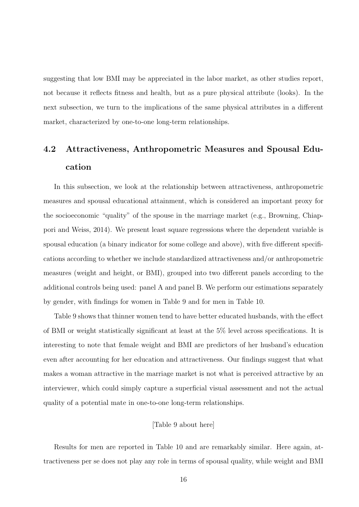suggesting that low BMI may be appreciated in the labor market, as other studies report, not because it reflects fitness and health, but as a pure physical attribute (looks). In the next subsection, we turn to the implications of the same physical attributes in a different market, characterized by one-to-one long-term relationships.

# 4.2 Attractiveness, Anthropometric Measures and Spousal Education

In this subsection, we look at the relationship between attractiveness, anthropometric measures and spousal educational attainment, which is considered an important proxy for the socioeconomic "quality" of the spouse in the marriage market (e.g., Browning, Chiappori and Weiss, 2014). We present least square regressions where the dependent variable is spousal education (a binary indicator for some college and above), with five different specifications according to whether we include standardized attractiveness and/or anthropometric measures (weight and height, or BMI), grouped into two different panels according to the additional controls being used: panel A and panel B. We perform our estimations separately by gender, with findings for women in Table 9 and for men in Table 10.

Table 9 shows that thinner women tend to have better educated husbands, with the effect of BMI or weight statistically significant at least at the 5% level across specifications. It is interesting to note that female weight and BMI are predictors of her husband's education even after accounting for her education and attractiveness. Our findings suggest that what makes a woman attractive in the marriage market is not what is perceived attractive by an interviewer, which could simply capture a superficial visual assessment and not the actual quality of a potential mate in one-to-one long-term relationships.

## [Table 9 about here]

Results for men are reported in Table 10 and are remarkably similar. Here again, attractiveness per se does not play any role in terms of spousal quality, while weight and BMI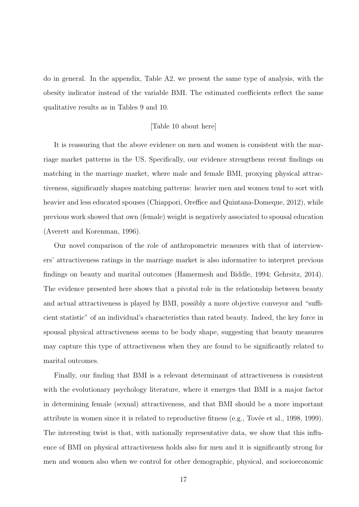do in general. In the appendix, Table A2, we present the same type of analysis, with the obesity indicator instead of the variable BMI. The estimated coefficients reflect the same qualitative results as in Tables 9 and 10.

#### [Table 10 about here]

It is reassuring that the above evidence on men and women is consistent with the marriage market patterns in the US. Specifically, our evidence strengthens recent findings on matching in the marriage market, where male and female BMI, proxying physical attractiveness, significantly shapes matching patterns: heavier men and women tend to sort with heavier and less educated spouses (Chiappori, Oreffice and Quintana-Domeque, 2012), while previous work showed that own (female) weight is negatively associated to spousal education (Averett and Korenman, 1996).

Our novel comparison of the role of anthropometric measures with that of interviewers' attractiveness ratings in the marriage market is also informative to interpret previous findings on beauty and marital outcomes (Hamermesh and Biddle, 1994; Gehrsitz, 2014). The evidence presented here shows that a pivotal role in the relationship between beauty and actual attractiveness is played by BMI, possibly a more objective conveyor and "sufficient statistic" of an individual's characteristics than rated beauty. Indeed, the key force in spousal physical attractiveness seems to be body shape, suggesting that beauty measures may capture this type of attractiveness when they are found to be significantly related to marital outcomes.

Finally, our finding that BMI is a relevant determinant of attractiveness is consistent with the evolutionary psychology literature, where it emerges that BMI is a major factor in determining female (sexual) attractiveness, and that BMI should be a more important attribute in women since it is related to reproductive fitness (e.g., Tovée et al., 1998, 1999). The interesting twist is that, with nationally representative data, we show that this influence of BMI on physical attractiveness holds also for men and it is significantly strong for men and women also when we control for other demographic, physical, and socioeconomic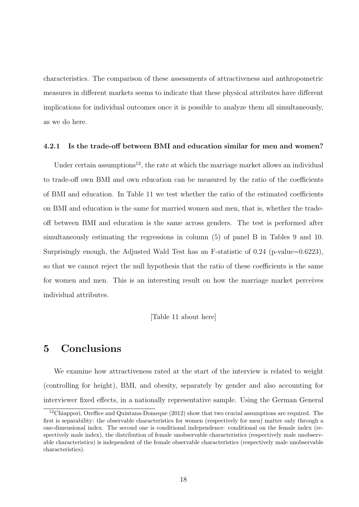characteristics. The comparison of these assessments of attractiveness and anthropometric measures in different markets seems to indicate that these physical attributes have different implications for individual outcomes once it is possible to analyze them all simultaneously, as we do here.

#### 4.2.1 Is the trade-off between BMI and education similar for men and women?

Under certain assumptions<sup>12</sup>, the rate at which the marriage market allows an individual to trade-off own BMI and own education can be measured by the ratio of the coefficients of BMI and education. In Table 11 we test whether the ratio of the estimated coefficients on BMI and education is the same for married women and men, that is, whether the tradeoff between BMI and education is the same across genders. The test is performed after simultaneously estimating the regressions in column (5) of panel B in Tables 9 and 10. Surprisingly enough, the Adjusted Wald Test has an F-statistic of 0.24 (p-value=0.6223), so that we cannot reject the null hypothesis that the ratio of these coefficients is the same for women and men. This is an interesting result on how the marriage market perceives individual attributes.

[Table 11 about here]

# 5 Conclusions

We examine how attractiveness rated at the start of the interview is related to weight (controlling for height), BMI, and obesity, separately by gender and also accounting for interviewer fixed effects, in a nationally representative sample. Using the German General

<sup>&</sup>lt;sup>12</sup>Chiappori, Oreffice and Quintana-Domeque (2012) show that two crucial assumptions are required. The first is separability: the observable characteristics for women (respectively for men) matter only through a one-dimensional index. The second one is conditional independence: conditional on the female index (respectively male index), the distribution of female unobservable characteristics (respectively male unobservable characteristics) is independent of the female observable characteristics (respectively male unobservable characteristics).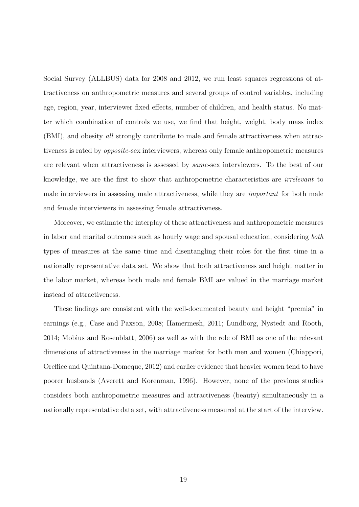Social Survey (ALLBUS) data for 2008 and 2012, we run least squares regressions of attractiveness on anthropometric measures and several groups of control variables, including age, region, year, interviewer fixed effects, number of children, and health status. No matter which combination of controls we use, we find that height, weight, body mass index (BMI), and obesity all strongly contribute to male and female attractiveness when attractiveness is rated by opposite-sex interviewers, whereas only female anthropometric measures are relevant when attractiveness is assessed by same-sex interviewers. To the best of our knowledge, we are the first to show that anthropometric characteristics are irrelevant to male interviewers in assessing male attractiveness, while they are important for both male and female interviewers in assessing female attractiveness.

Moreover, we estimate the interplay of these attractiveness and anthropometric measures in labor and marital outcomes such as hourly wage and spousal education, considering both types of measures at the same time and disentangling their roles for the first time in a nationally representative data set. We show that both attractiveness and height matter in the labor market, whereas both male and female BMI are valued in the marriage market instead of attractiveness.

These findings are consistent with the well-documented beauty and height "premia" in earnings (e.g., Case and Paxson, 2008; Hamermesh, 2011; Lundborg, Nystedt and Rooth, 2014; Mobius and Rosenblatt, 2006) as well as with the role of BMI as one of the relevant dimensions of attractiveness in the marriage market for both men and women (Chiappori, Oreffice and Quintana-Domeque, 2012) and earlier evidence that heavier women tend to have poorer husbands (Averett and Korenman, 1996). However, none of the previous studies considers both anthropometric measures and attractiveness (beauty) simultaneously in a nationally representative data set, with attractiveness measured at the start of the interview.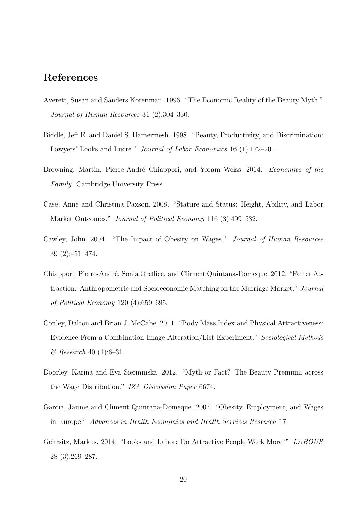# References

- Averett, Susan and Sanders Korenman. 1996. "The Economic Reality of the Beauty Myth." Journal of Human Resources 31 (2):304–330.
- Biddle, Jeff E. and Daniel S. Hamermesh. 1998. "Beauty, Productivity, and Discrimination: Lawyers' Looks and Lucre." *Journal of Labor Economics* 16 (1):172–201.
- Browning, Martin, Pierre-André Chiappori, and Yoram Weiss. 2014. Economics of the Family. Cambridge University Press.
- Case, Anne and Christina Paxson. 2008. "Stature and Status: Height, Ability, and Labor Market Outcomes." *Journal of Political Economy* 116 (3):499–532.
- Cawley, John. 2004. "The Impact of Obesity on Wages." Journal of Human Resources 39 (2):451–474.
- Chiappori, Pierre-André, Sonia Oreffice, and Climent Quintana-Domeque. 2012. "Fatter Attraction: Anthropometric and Socioeconomic Matching on the Marriage Market." Journal of Political Economy 120 (4):659–695.
- Conley, Dalton and Brian J. McCabe. 2011. "Body Mass Index and Physical Attractiveness: Evidence From a Combination Image-Alteration/List Experiment." Sociological Methods  $\&$  Research 40 (1):6-31.
- Doorley, Karina and Eva Sierminska. 2012. "Myth or Fact? The Beauty Premium across the Wage Distribution." IZA Discussion Paper 6674.
- Garcia, Jaume and Climent Quintana-Domeque. 2007. "Obesity, Employment, and Wages in Europe." Advances in Health Economics and Health Services Research 17.
- Gehrsitz, Markus. 2014. "Looks and Labor: Do Attractive People Work More?" LABOUR 28 (3):269–287.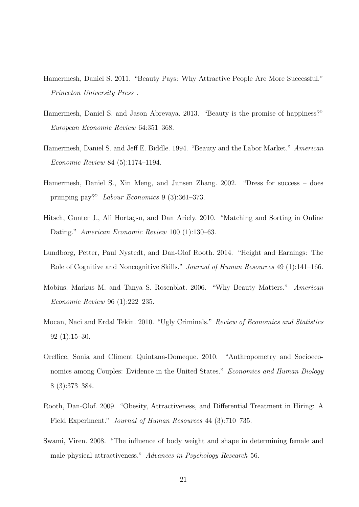- Hamermesh, Daniel S. 2011. "Beauty Pays: Why Attractive People Are More Successful." Princeton University Press .
- Hamermesh, Daniel S. and Jason Abrevaya. 2013. "Beauty is the promise of happiness?" European Economic Review 64:351–368.
- Hamermesh, Daniel S. and Jeff E. Biddle. 1994. "Beauty and the Labor Market." American Economic Review 84 (5):1174–1194.
- Hamermesh, Daniel S., Xin Meng, and Junsen Zhang. 2002. "Dress for success does primping pay?" Labour Economics 9 (3):361–373.
- Hitsch, Gunter J., Ali Hortaçsu, and Dan Ariely. 2010. "Matching and Sorting in Online Dating." American Economic Review 100 (1):130–63.
- Lundborg, Petter, Paul Nystedt, and Dan-Olof Rooth. 2014. "Height and Earnings: The Role of Cognitive and Noncognitive Skills." Journal of Human Resources 49 (1):141–166.
- Mobius, Markus M. and Tanya S. Rosenblat. 2006. "Why Beauty Matters." American Economic Review 96 (1):222–235.
- Mocan, Naci and Erdal Tekin. 2010. "Ugly Criminals." Review of Economics and Statistics 92 (1):15–30.
- Oreffice, Sonia and Climent Quintana-Domeque. 2010. "Anthropometry and Socioeconomics among Couples: Evidence in the United States." Economics and Human Biology 8 (3):373–384.
- Rooth, Dan-Olof. 2009. "Obesity, Attractiveness, and Differential Treatment in Hiring: A Field Experiment." *Journal of Human Resources* 44 (3):710–735.
- Swami, Viren. 2008. "The influence of body weight and shape in determining female and male physical attractiveness." Advances in Psychology Research 56.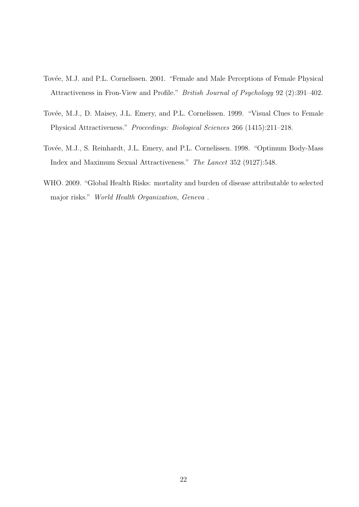- Tovée, M.J. and P.L. Cornelissen. 2001. "Female and Male Perceptions of Female Physical Attractiveness in Fron-View and Profile." British Journal of Psychology 92 (2):391–402.
- Tovée, M.J., D. Maisey, J.L. Emery, and P.L. Cornelissen. 1999. "Visual Clues to Female Physical Attractiveness." Proceedings: Biological Sciences 266 (1415):211–218.
- Tovée, M.J., S. Reinhardt, J.L. Emery, and P.L. Cornelissen. 1998. "Optimum Body-Mass Index and Maximum Sexual Attractiveness." The Lancet 352 (9127):548.
- WHO. 2009. "Global Health Risks: mortality and burden of disease attributable to selected major risks." World Health Organization, Geneva .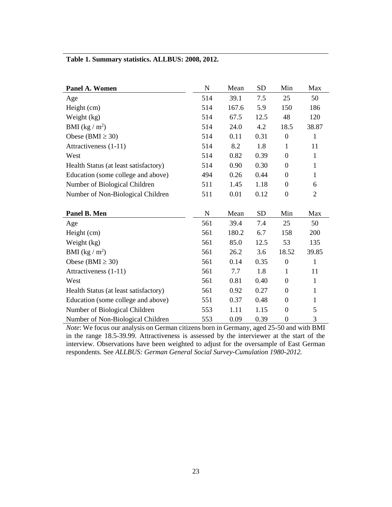|  |  | Table 1. Summary statistics. ALLBUS: 2008, 2012. |
|--|--|--------------------------------------------------|
|  |  |                                                  |

| Panel A. Women                        | $\mathbf N$ | Mean  | <b>SD</b> | Min              | Max            |
|---------------------------------------|-------------|-------|-----------|------------------|----------------|
| Age                                   | 514         | 39.1  | 7.5       | 25               | 50             |
| Height (cm)                           | 514         | 167.6 | 5.9       | 150              | 186            |
| Weight (kg)                           | 514         | 67.5  | 12.5      | 48               | 120            |
| BMI $(kg/m^2)$                        | 514         | 24.0  | 4.2       | 18.5             | 38.87          |
| Obese (BMI $\geq$ 30)                 | 514         | 0.11  | 0.31      | $\boldsymbol{0}$ | $\mathbf{1}$   |
| Attractiveness (1-11)                 | 514         | 8.2   | 1.8       | $\mathbf{1}$     | 11             |
| West                                  | 514         | 0.82  | 0.39      | $\overline{0}$   | $\mathbf{1}$   |
| Health Status (at least satisfactory) | 514         | 0.90  | 0.30      | $\boldsymbol{0}$ | $\mathbf{1}$   |
| Education (some college and above)    | 494         | 0.26  | 0.44      | $\boldsymbol{0}$ | $\mathbf{1}$   |
| Number of Biological Children         | 511         | 1.45  | 1.18      | $\boldsymbol{0}$ | 6              |
| Number of Non-Biological Children     | 511         | 0.01  | 0.12      | $\boldsymbol{0}$ | $\overline{2}$ |
|                                       |             |       |           |                  |                |
| Panel B. Men                          | $\mathbf N$ | Mean  | <b>SD</b> | Min              | Max            |
| Age                                   | 561         | 39.4  | 7.4       | 25               | 50             |
| Height (cm)                           | 561         | 180.2 | 6.7       | 158              | 200            |
| Weight (kg)                           | 561         | 85.0  | 12.5      | 53               | 135            |
| BMI $(kg/m^2)$                        | 561         | 26.2  | 3.6       | 18.52            | 39.85          |
| Obese (BMI $\geq$ 30)                 | 561         | 0.14  | 0.35      | $\boldsymbol{0}$ | $\mathbf{1}$   |
| Attractiveness (1-11)                 | 561         | 7.7   | 1.8       | $\mathbf{1}$     | 11             |
| West                                  | 561         | 0.81  | 0.40      | $\boldsymbol{0}$ | $\mathbf{1}$   |
| Health Status (at least satisfactory) | 561         | 0.92  | 0.27      | $\boldsymbol{0}$ | $\mathbf{1}$   |
| Education (some college and above)    | 551         | 0.37  | 0.48      | $\boldsymbol{0}$ | $\mathbf{1}$   |
|                                       |             |       |           |                  |                |
| Number of Biological Children         | 553         | 1.11  | 1.15      | $\boldsymbol{0}$ | 5              |

*Note*: We focus our analysis on German citizens born in Germany, aged 25-50 and with BMI in the range 18.5-39.99. Attractiveness is assessed by the interviewer at the start of the interview. Observations have been weighted to adjust for the oversample of East German respondents. See *ALLBUS: German General Social Survey-Cumulation 1980-2012.*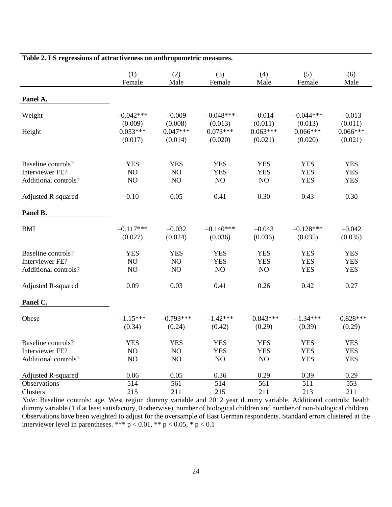|                           | (1)         | (2)         | (3)         | (4)         | (5)         | (6)         |  |
|---------------------------|-------------|-------------|-------------|-------------|-------------|-------------|--|
|                           | Female      | Male        | Female      | Male        | Female      | Male        |  |
| Panel A.                  |             |             |             |             |             |             |  |
| Weight                    | $-0.042***$ | $-0.009$    | $-0.048***$ | $-0.014$    | $-0.044***$ | $-0.013$    |  |
|                           | (0.009)     | (0.008)     | (0.013)     | (0.011)     | (0.013)     | (0.011)     |  |
| Height                    | $0.053***$  | $0.047***$  | $0.073***$  | $0.063***$  | $0.066***$  | $0.066***$  |  |
|                           | (0.017)     | (0.014)     | (0.020)     | (0.021)     | (0.020)     | (0.021)     |  |
| Baseline controls?        | <b>YES</b>  | <b>YES</b>  | <b>YES</b>  | <b>YES</b>  | <b>YES</b>  | <b>YES</b>  |  |
| Interviewer FE?           | NO          | NO          | <b>YES</b>  | <b>YES</b>  | <b>YES</b>  | <b>YES</b>  |  |
| Additional controls?      | NO          | NO          | NO          | NO          | <b>YES</b>  | <b>YES</b>  |  |
| <b>Adjusted R-squared</b> | 0.10        | 0.05        | 0.41        | 0.30        | 0.43        | 0.30        |  |
| Panel B.                  |             |             |             |             |             |             |  |
| <b>BMI</b>                | $-0.117***$ | $-0.032$    | $-0.140***$ | $-0.043$    | $-0.128***$ | $-0.042$    |  |
|                           | (0.027)     | (0.024)     | (0.036)     | (0.036)     | (0.035)     | (0.035)     |  |
| Baseline controls?        | <b>YES</b>  | <b>YES</b>  | <b>YES</b>  | <b>YES</b>  | <b>YES</b>  | <b>YES</b>  |  |
| Interviewer FE?           | NO          | NO          | <b>YES</b>  | <b>YES</b>  | <b>YES</b>  | <b>YES</b>  |  |
| Additional controls?      | NO          | NO          | NO          | NO          | <b>YES</b>  | <b>YES</b>  |  |
| <b>Adjusted R-squared</b> | 0.09        | 0.03        | 0.41        | 0.26        | 0.42        | 0.27        |  |
| Panel C.                  |             |             |             |             |             |             |  |
| Obese                     | $-1.15***$  | $-0.793***$ | $-1.42***$  | $-0.843***$ | $-1.34***$  | $-0.828***$ |  |
|                           | (0.34)      | (0.24)      | (0.42)      | (0.29)      | (0.39)      | (0.29)      |  |
| Baseline controls?        | <b>YES</b>  | <b>YES</b>  | <b>YES</b>  | <b>YES</b>  | <b>YES</b>  | <b>YES</b>  |  |
| Interviewer FE?           | NO          | NO          | <b>YES</b>  | <b>YES</b>  | <b>YES</b>  | <b>YES</b>  |  |
| Additional controls?      | NO          | NO          | NO          | NO          | <b>YES</b>  | <b>YES</b>  |  |
| Adjusted R-squared        | 0.06        | 0.05        | 0.36        | 0.29        | 0.39        | 0.29        |  |
| Observations              | 514         | 561         | 514         | 561         | 511         | 553         |  |
| Clusters                  | 215         | 211         | 215         | 211         | 213         | 211         |  |

**Table 2. LS regressions of attractiveness on anthropometric measures.**

*Note*: Baseline controls: age, West region dummy variable and 2012 year dummy variable. Additional controls: health dummy variable (1 if at least satisfactory, 0 otherwise), number of biological children and number of non-biological children. Observations have been weighted to adjust for the oversample of East German respondents. Standard errors clustered at the interviewer level in parentheses. \*\*\*  $p < 0.01$ , \*\*  $p < 0.05$ , \*  $p < 0.1$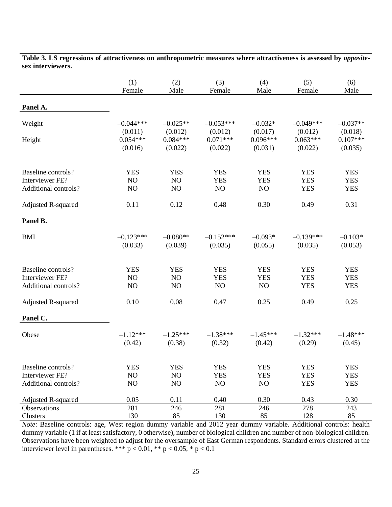|                                                               | (1)<br>Female                    | (2)<br>Male                      | (3)<br>Female                    | (4)<br>Male                      | (5)<br>Female                          | (6)<br>Male                            |
|---------------------------------------------------------------|----------------------------------|----------------------------------|----------------------------------|----------------------------------|----------------------------------------|----------------------------------------|
| Panel A.                                                      |                                  |                                  |                                  |                                  |                                        |                                        |
| Weight                                                        | $-0.044***$                      | $-0.025**$                       | $-0.053***$                      | $-0.032*$                        | $-0.049***$                            | $-0.037**$                             |
| Height                                                        | (0.011)<br>$0.054***$<br>(0.016) | (0.012)<br>$0.084***$<br>(0.022) | (0.012)<br>$0.071***$<br>(0.022) | (0.017)<br>$0.096***$<br>(0.031) | (0.012)<br>$0.063***$<br>(0.022)       | (0.018)<br>$0.107***$<br>(0.035)       |
| Baseline controls?<br>Interviewer FE?<br>Additional controls? | <b>YES</b><br>NO<br>NO           | <b>YES</b><br>NO<br>NO           | <b>YES</b><br><b>YES</b><br>NO   | <b>YES</b><br><b>YES</b><br>NO   | <b>YES</b><br><b>YES</b><br><b>YES</b> | <b>YES</b><br><b>YES</b><br><b>YES</b> |
| <b>Adjusted R-squared</b>                                     | 0.11                             | 0.12                             | 0.48                             | 0.30                             | 0.49                                   | 0.31                                   |
| Panel B.                                                      |                                  |                                  |                                  |                                  |                                        |                                        |
| <b>BMI</b>                                                    | $-0.123***$<br>(0.033)           | $-0.080**$<br>(0.039)            | $-0.152***$<br>(0.035)           | $-0.093*$<br>(0.055)             | $-0.139***$<br>(0.035)                 | $-0.103*$<br>(0.053)                   |
| Baseline controls?<br>Interviewer FE?<br>Additional controls? | <b>YES</b><br>NO<br>NO           | <b>YES</b><br>NO<br>NO           | <b>YES</b><br><b>YES</b><br>NO   | <b>YES</b><br><b>YES</b><br>NO   | <b>YES</b><br><b>YES</b><br><b>YES</b> | <b>YES</b><br><b>YES</b><br><b>YES</b> |
| Adjusted R-squared                                            | 0.10                             | 0.08                             | 0.47                             | 0.25                             | 0.49                                   | 0.25                                   |
| Panel C.                                                      |                                  |                                  |                                  |                                  |                                        |                                        |
| Obese                                                         | $-1.12***$<br>(0.42)             | $-1.25***$<br>(0.38)             | $-1.38***$<br>(0.32)             | $-1.45***$<br>(0.42)             | $-1.32***$<br>(0.29)                   | $-1.48***$<br>(0.45)                   |
| Baseline controls?                                            | <b>YES</b>                       | <b>YES</b>                       | <b>YES</b>                       | <b>YES</b>                       | <b>YES</b>                             | <b>YES</b>                             |
| Interviewer FE?                                               | NO                               | NO                               | <b>YES</b>                       | <b>YES</b>                       | <b>YES</b>                             | <b>YES</b>                             |
| Additional controls?                                          | NO                               | NO                               | NO                               | $\rm NO$                         | <b>YES</b>                             | <b>YES</b>                             |
| Adjusted R-squared                                            | 0.05                             | 0.11                             | 0.40                             | 0.30                             | 0.43                                   | 0.30                                   |
| Observations                                                  | 281                              | 246                              | 281                              | 246                              | 278                                    | 243                                    |
| Clusters                                                      | 130                              | 85                               | 130                              | 85                               | 128                                    | 85                                     |

**Table 3. LS regressions of attractiveness on anthropometric measures where attractiveness is assessed by** *opposite***sex interviewers.**

*Note*: Baseline controls: age, West region dummy variable and 2012 year dummy variable. Additional controls: health dummy variable (1 if at least satisfactory, 0 otherwise), number of biological children and number of non-biological children. Observations have been weighted to adjust for the oversample of East German respondents. Standard errors clustered at the interviewer level in parentheses. \*\*\*  $p < 0.01$ , \*\*  $p < 0.05$ , \*  $p < 0.1$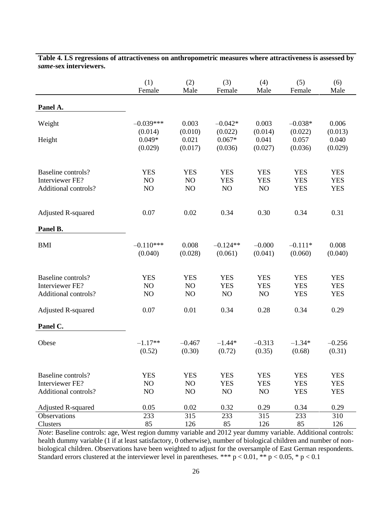|                           | (1)         | (2)        | (3)        | (4)        | (5)        | (6)        |
|---------------------------|-------------|------------|------------|------------|------------|------------|
|                           | Female      | Male       | Female     | Male       | Female     | Male       |
| Panel A.                  |             |            |            |            |            |            |
| Weight                    | $-0.039***$ | 0.003      | $-0.042*$  | 0.003      | $-0.038*$  | 0.006      |
| Height                    | (0.014)     | (0.010)    | (0.022)    | (0.014)    | (0.022)    | (0.013)    |
|                           | $0.049*$    | 0.021      | $0.067*$   | 0.041      | 0.057      | 0.040      |
|                           | (0.029)     | (0.017)    | (0.036)    | (0.027)    | (0.036)    | (0.029)    |
| Baseline controls?        | <b>YES</b>  | <b>YES</b> | <b>YES</b> | <b>YES</b> | <b>YES</b> | <b>YES</b> |
| Interviewer FE?           | NO          | NO         | <b>YES</b> | <b>YES</b> | <b>YES</b> | <b>YES</b> |
| Additional controls?      | NO          | NO         | NO         | NO         | <b>YES</b> | <b>YES</b> |
| <b>Adjusted R-squared</b> | 0.07        | 0.02       | 0.34       | 0.30       | 0.34       | 0.31       |
| Panel B.                  |             |            |            |            |            |            |
| <b>BMI</b>                | $-0.110***$ | 0.008      | $-0.124**$ | $-0.000$   | $-0.111*$  | 0.008      |
|                           | (0.040)     | (0.028)    | (0.061)    | (0.041)    | (0.060)    | (0.040)    |
| Baseline controls?        | <b>YES</b>  | <b>YES</b> | <b>YES</b> | <b>YES</b> | <b>YES</b> | <b>YES</b> |
| Interviewer FE?           | NO          | NO         | <b>YES</b> | <b>YES</b> | <b>YES</b> | <b>YES</b> |
| Additional controls?      | NO          | NO         | NO         | NO         | <b>YES</b> | <b>YES</b> |
| <b>Adjusted R-squared</b> | 0.07        | 0.01       | 0.34       | 0.28       | 0.34       | 0.29       |
| Panel C.                  |             |            |            |            |            |            |
| Obese                     | $-1.17**$   | $-0.467$   | $-1.44*$   | $-0.313$   | $-1.34*$   | $-0.256$   |
|                           | (0.52)      | (0.30)     | (0.72)     | (0.35)     | (0.68)     | (0.31)     |
| Baseline controls?        | <b>YES</b>  | <b>YES</b> | <b>YES</b> | <b>YES</b> | <b>YES</b> | <b>YES</b> |
| Interviewer FE?           | NO          | NO         | <b>YES</b> | <b>YES</b> | <b>YES</b> | <b>YES</b> |
| Additional controls?      | NO          | NO         | NO         | NO         | <b>YES</b> | <b>YES</b> |
| <b>Adjusted R-squared</b> | 0.05        | 0.02       | 0.32       | 0.29       | 0.34       | 0.29       |
| Observations              | 233         | 315        | 233        | 315        | 233        | 310        |
| Clusters                  | 85          | 126        | 85         | 126        | 85         | 126        |

**Table 4. LS regressions of attractiveness on anthropometric measures where attractiveness is assessed by**  *same***-sex interviewers.**

*Note*: Baseline controls: age, West region dummy variable and 2012 year dummy variable. Additional controls: health dummy variable (1 if at least satisfactory, 0 otherwise), number of biological children and number of nonbiological children. Observations have been weighted to adjust for the oversample of East German respondents. Standard errors clustered at the interviewer level in parentheses. \*\*\*  $p < 0.01$ , \*\*  $p < 0.05$ , \*  $p < 0.1$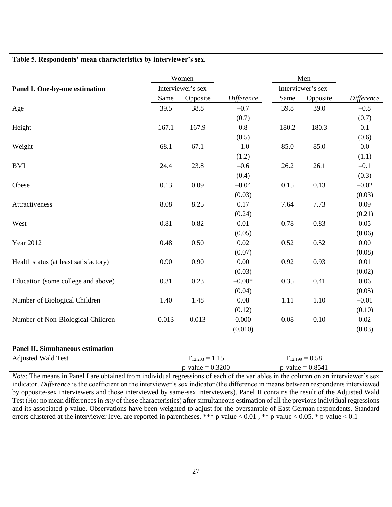#### **Table 5. Respondents' mean characteristics by interviewer's sex.**

|                                          |                   | Women               |            |                   | Men                 |            |
|------------------------------------------|-------------------|---------------------|------------|-------------------|---------------------|------------|
| Panel I. One-by-one estimation           | Interviewer's sex |                     |            | Interviewer's sex |                     |            |
|                                          | Same              | Opposite            | Difference | Same              | Opposite            | Difference |
| Age                                      | 39.5              | 38.8                | $-0.7$     | 39.8              | 39.0                | $-0.8$     |
|                                          |                   |                     | (0.7)      |                   |                     | (0.7)      |
| Height                                   | 167.1             | 167.9               | 0.8        | 180.2             | 180.3               | 0.1        |
|                                          |                   |                     | (0.5)      |                   |                     | (0.6)      |
| Weight                                   | 68.1              | 67.1                | $-1.0$     | 85.0              | 85.0                | 0.0        |
|                                          |                   |                     | (1.2)      |                   |                     | (1.1)      |
| <b>BMI</b>                               | 24.4              | 23.8                | $-0.6$     | 26.2              | 26.1                | $-0.1$     |
|                                          |                   |                     | (0.4)      |                   |                     | (0.3)      |
| Obese                                    | 0.13              | 0.09                | $-0.04$    | 0.15              | 0.13                | $-0.02$    |
|                                          |                   |                     | (0.03)     |                   |                     | (0.03)     |
| Attractiveness                           | 8.08              | 8.25                | 0.17       | 7.64              | 7.73                | 0.09       |
|                                          |                   |                     | (0.24)     |                   |                     | (0.21)     |
| West                                     | 0.81              | 0.82                | 0.01       | 0.78              | 0.83                | 0.05       |
|                                          |                   |                     | (0.05)     |                   |                     | (0.06)     |
| Year 2012                                | 0.48              | 0.50                | 0.02       | 0.52              | 0.52                | 0.00       |
|                                          |                   |                     | (0.07)     |                   |                     | (0.08)     |
| Health status (at least satisfactory)    | 0.90              | 0.90                | 0.00       | 0.92              | 0.93                | 0.01       |
|                                          |                   |                     | (0.03)     |                   |                     | (0.02)     |
| Education (some college and above)       | 0.31              | 0.23                | $-0.08*$   | 0.35              | 0.41                | 0.06       |
|                                          |                   |                     | (0.04)     |                   |                     | (0.05)     |
| Number of Biological Children            | 1.40              | 1.48                | 0.08       | 1.11              | 1.10                | $-0.01$    |
|                                          |                   |                     | (0.12)     |                   |                     | (0.10)     |
| Number of Non-Biological Children        | 0.013             | 0.013               | 0.000      | 0.08              | 0.10                | 0.02       |
|                                          |                   |                     | (0.010)    |                   |                     | (0.03)     |
| <b>Panel II. Simultaneous estimation</b> |                   |                     |            |                   |                     |            |
| <b>Adjusted Wald Test</b>                |                   | $F_{12,203} = 1.15$ |            |                   | $F_{12,199} = 0.58$ |            |

*Note*: The means in Panel I are obtained from individual regressions of each of the variables in the column on an interviewer's sex indicator. *Difference* is the coefficient on the interviewer's sex indicator (the difference in means between respondents interviewed by opposite-sex interviewers and those interviewed by same-sex interviewers). Panel II contains the result of the Adjusted Wald Test (Ho: no mean differences in *any* of these characteristics) after simultaneous estimation of all the previous individual regressions and its associated p-value. Observations have been weighted to adjust for the oversample of East German respondents. Standard errors clustered at the interviewer level are reported in parentheses. \*\*\* p-value < 0.01 , \*\* p-value < 0.05, \* p-value < 0.1

 $p-value = 0.3200$   $p-value = 0.8541$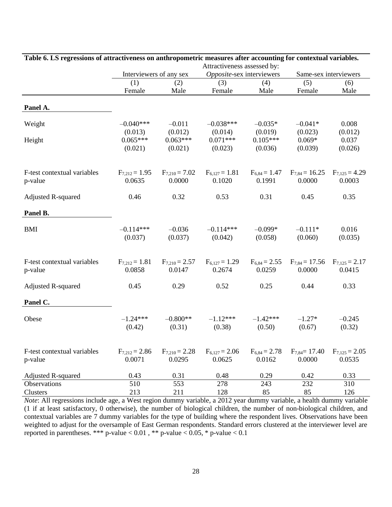|                             | Attractiveness assessed by:  |                              |                              |                             |                              |                              |  |
|-----------------------------|------------------------------|------------------------------|------------------------------|-----------------------------|------------------------------|------------------------------|--|
|                             | Interviewers of any sex      |                              | Opposite-sex interviewers    |                             |                              | Same-sex interviewers        |  |
|                             | (1)                          | (2)                          | (3)                          | (4)                         | (5)                          | (6)                          |  |
|                             | Female                       | Male                         | Female                       | Male                        | Female                       | Male                         |  |
| Panel A.                    |                              |                              |                              |                             |                              |                              |  |
|                             |                              |                              |                              |                             |                              |                              |  |
| Weight                      | $-0.040***$                  | $-0.011$                     | $-0.038***$                  | $-0.035*$                   | $-0.041*$                    | 0.008                        |  |
|                             | (0.013)                      | (0.012)                      | (0.014)                      | (0.019)                     | (0.023)                      | (0.012)                      |  |
| Height                      | $0.065***$                   | $0.063***$                   | $0.071***$                   | $0.105***$                  | $0.069*$                     | 0.037                        |  |
|                             | (0.021)                      | (0.021)                      | (0.023)                      | (0.036)                     | (0.039)                      | (0.026)                      |  |
| F-test contextual variables | $F_{7,212} = 1.95$<br>0.0635 | $F_{7,210} = 7.02$<br>0.0000 | $F_{6,127} = 1.81$<br>0.1020 | $F_{6,84} = 1.47$<br>0.1991 | $F_{7,84} = 16.25$<br>0.0000 | $F_{7,125} = 4.29$<br>0.0003 |  |
| p-value                     |                              |                              |                              |                             |                              |                              |  |
| <b>Adjusted R-squared</b>   | 0.46                         | 0.32                         | 0.53                         | 0.31                        | 0.45                         | 0.35                         |  |
| Panel B.                    |                              |                              |                              |                             |                              |                              |  |
| <b>BMI</b>                  | $-0.114***$                  | $-0.036$                     | $-0.114***$                  | $-0.099*$                   | $-0.111*$                    | 0.016                        |  |
|                             | (0.037)                      | (0.037)                      | (0.042)                      | (0.058)                     | (0.060)                      | (0.035)                      |  |
| F-test contextual variables | $F_{7,212} = 1.81$           | $F_{7,210} = 2.57$           | $F_{6,127} = 1.29$           | $F_{6,84} = 2.55$           | $F_{7,84} = 17.56$           | $F_{7,125} = 2.17$           |  |
| p-value                     | 0.0858                       | 0.0147                       | 0.2674                       | 0.0259                      | 0.0000                       | 0.0415                       |  |
| <b>Adjusted R-squared</b>   | 0.45                         | 0.29                         | 0.52                         | 0.25                        | 0.44                         | 0.33                         |  |
| Panel C.                    |                              |                              |                              |                             |                              |                              |  |
| Obese                       | $-1.24***$                   | $-0.800**$                   | $-1.12***$                   | $-1.42***$                  | $-1.27*$                     | $-0.245$                     |  |
|                             | (0.42)                       | (0.31)                       | (0.38)                       | (0.50)                      | (0.67)                       | (0.32)                       |  |
| F-test contextual variables | $F_{7,212} = 2.86$           | $F_{7,210} = 2.28$           | $F_{6,127} = 2.06$           | $F_{6,84} = 2.78$           | $F_{7,84} = 17.40$           | $F_{7,125} = 2.05$           |  |
| p-value                     | 0.0071                       | 0.0295                       | 0.0625                       | 0.0162                      | 0.0000                       | 0.0535                       |  |
| <b>Adjusted R-squared</b>   | 0.43                         | 0.31                         | 0.48                         | 0.29                        | 0.42                         | 0.33                         |  |
| Observations                | 510                          | 553                          | 278                          | 243                         | 232                          | 310                          |  |
| Clusters                    | 213                          | 211                          | 128                          | 85                          | 85                           | 126                          |  |

**Table 6. LS regressions of attractiveness on anthropometric measures after accounting for contextual variables.**

*Note*: All regressions include age, a West region dummy variable, a 2012 year dummy variable, a health dummy variable (1 if at least satisfactory, 0 otherwise), the number of biological children, the number of non-biological children, and contextual variables are 7 dummy variables for the type of building where the respondent lives. Observations have been weighted to adjust for the oversample of East German respondents. Standard errors clustered at the interviewer level are reported in parentheses. \*\*\* p-value <  $0.01$ , \*\* p-value <  $0.05$ , \* p-value <  $0.1$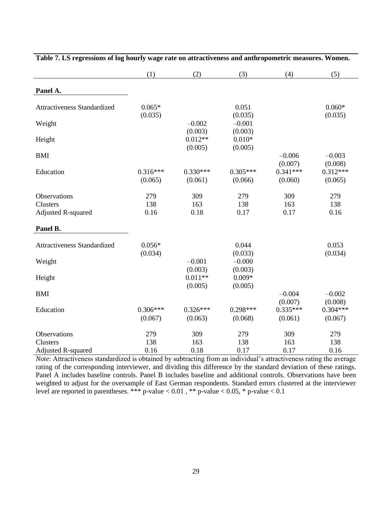|                                                | (1)                   | (2)                             | (3)                            | (4)                              | (5)                              |
|------------------------------------------------|-----------------------|---------------------------------|--------------------------------|----------------------------------|----------------------------------|
| Panel A.                                       |                       |                                 |                                |                                  |                                  |
| <b>Attractiveness Standardized</b>             | $0.065*$<br>(0.035)   |                                 | 0.051<br>(0.035)               |                                  | $0.060*$<br>(0.035)              |
| Weight                                         |                       | $-0.002$                        | $-0.001$                       |                                  |                                  |
| Height                                         |                       | (0.003)<br>$0.012**$<br>(0.005) | (0.003)<br>$0.010*$<br>(0.005) |                                  |                                  |
| <b>BMI</b>                                     |                       |                                 |                                | $-0.006$                         | $-0.003$                         |
| Education                                      | $0.316***$<br>(0.065) | $0.330***$<br>(0.061)           | $0.305***$<br>(0.066)          | (0.007)<br>$0.341***$<br>(0.060) | (0.008)<br>$0.312***$<br>(0.065) |
| Observations<br>Clusters<br>Adjusted R-squared | 279<br>138<br>0.16    | 309<br>163<br>0.18              | 279<br>138<br>0.17             | 309<br>163<br>0.17               | 279<br>138<br>0.16               |
| Panel B.                                       |                       |                                 |                                |                                  |                                  |
| Attractiveness Standardized                    | $0.056*$<br>(0.034)   |                                 | 0.044<br>(0.033)               |                                  | 0.053<br>(0.034)                 |
| Weight                                         |                       | $-0.001$                        | $-0.000$                       |                                  |                                  |
| Height                                         |                       | (0.003)<br>$0.011**$<br>(0.005) | (0.003)<br>$0.009*$<br>(0.005) |                                  |                                  |
| <b>BMI</b>                                     |                       |                                 |                                | $-0.004$                         | $-0.002$                         |
| Education                                      | $0.306***$<br>(0.067) | $0.326***$<br>(0.063)           | $0.298***$<br>(0.068)          | (0.007)<br>$0.335***$<br>(0.061) | (0.008)<br>$0.304***$<br>(0.067) |
| Observations                                   | 279                   | 309                             | 279                            | 309                              | 279                              |
| Clusters                                       | 138                   | 163                             | 138                            | 163                              | 138                              |
| <b>Adjusted R-squared</b>                      | 0.16                  | 0.18                            | 0.17                           | 0.17                             | 0.16                             |

*Note*: Attractiveness standardized is obtained by subtracting from an individual's attractiveness rating the average rating of the corresponding interviewer, and dividing this difference by the standard deviation of these ratings. Panel A includes baseline controls. Panel B includes baseline and additional controls. Observations have been weighted to adjust for the oversample of East German respondents. Standard errors clustered at the interviewer level are reported in parentheses. \*\*\* p-value <  $0.01$ , \*\* p-value <  $0.05$ , \* p-value <  $0.1$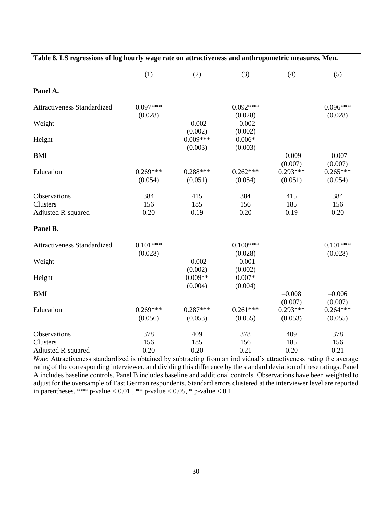|                                                              | (1)                   | (2)                              | (3)                            | (4)                              | (5)                              |
|--------------------------------------------------------------|-----------------------|----------------------------------|--------------------------------|----------------------------------|----------------------------------|
| Panel A.                                                     |                       |                                  |                                |                                  |                                  |
| <b>Attractiveness Standardized</b>                           | $0.097***$<br>(0.028) |                                  | $0.092***$<br>(0.028)          |                                  | $0.096***$<br>(0.028)            |
| Weight                                                       |                       | $-0.002$                         | $-0.002$                       |                                  |                                  |
| Height                                                       |                       | (0.002)<br>$0.009***$<br>(0.003) | (0.002)<br>$0.006*$<br>(0.003) |                                  |                                  |
| <b>BMI</b>                                                   |                       |                                  |                                | $-0.009$                         | $-0.007$                         |
| Education                                                    | $0.269***$<br>(0.054) | $0.288***$<br>(0.051)            | $0.262***$<br>(0.054)          | (0.007)<br>$0.293***$<br>(0.051) | (0.007)<br>$0.265***$<br>(0.054) |
| <b>Observations</b><br>Clusters<br><b>Adjusted R-squared</b> | 384<br>156<br>0.20    | 415<br>185<br>0.19               | 384<br>156<br>0.20             | 415<br>185<br>0.19               | 384<br>156<br>0.20               |
| Panel B.                                                     |                       |                                  |                                |                                  |                                  |
| Attractiveness Standardized                                  | $0.101***$<br>(0.028) |                                  | $0.100***$<br>(0.028)          |                                  | $0.101***$<br>(0.028)            |
| Weight                                                       |                       | $-0.002$<br>(0.002)              | $-0.001$<br>(0.002)            |                                  |                                  |
| Height                                                       |                       | $0.009**$<br>(0.004)             | $0.007*$<br>(0.004)            |                                  |                                  |
| <b>BMI</b>                                                   |                       |                                  |                                | $-0.008$<br>(0.007)              | $-0.006$<br>(0.007)              |
| Education                                                    | $0.269***$<br>(0.056) | $0.287***$<br>(0.053)            | $0.261***$<br>(0.055)          | $0.293***$<br>(0.053)            | $0.264***$<br>(0.055)            |
| Observations                                                 | 378                   | 409                              | 378                            | 409                              | 378                              |
| Clusters<br><b>Adjusted R-squared</b>                        | 156<br>0.20           | 185<br>0.20                      | 156<br>0.21                    | 185<br>0.20                      | 156<br>0.21                      |

|  | Table 8. LS regressions of log hourly wage rate on attractiveness and anthropometric measures. Men. |
|--|-----------------------------------------------------------------------------------------------------|
|  |                                                                                                     |

*Note*: Attractiveness standardized is obtained by subtracting from an individual's attractiveness rating the average rating of the corresponding interviewer, and dividing this difference by the standard deviation of these ratings. Panel A includes baseline controls. Panel B includes baseline and additional controls. Observations have been weighted to adjust for the oversample of East German respondents. Standard errors clustered at the interviewer level are reported in parentheses. \*\*\* p-value <  $0.01$ , \*\* p-value <  $0.05$ , \* p-value <  $0.1$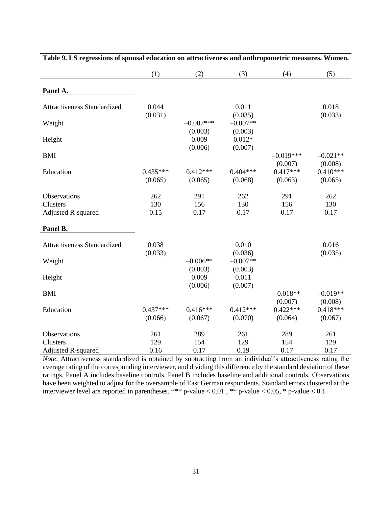|                                       | (1)                   | (2)                   | (3)                   | (4)                              | (5)                              |
|---------------------------------------|-----------------------|-----------------------|-----------------------|----------------------------------|----------------------------------|
| Panel A.                              |                       |                       |                       |                                  |                                  |
| Attractiveness Standardized           | 0.044                 |                       | 0.011                 |                                  | 0.018                            |
| Weight                                | (0.031)               | $-0.007***$           | (0.035)<br>$-0.007**$ |                                  | (0.033)                          |
| Height                                |                       | (0.003)<br>0.009      | (0.003)<br>$0.012*$   |                                  |                                  |
| <b>BMI</b>                            |                       | (0.006)               | (0.007)               | $-0.019***$                      | $-0.021**$                       |
| Education                             | $0.435***$<br>(0.065) | $0.412***$<br>(0.065) | $0.404***$<br>(0.068) | (0.007)<br>$0.417***$<br>(0.063) | (0.008)<br>$0.410***$<br>(0.065) |
| Observations                          | 262                   | 291                   | 262                   | 291                              | 262                              |
| Clusters<br><b>Adjusted R-squared</b> | 130<br>0.15           | 156<br>0.17           | 130<br>0.17           | 156<br>0.17                      | 130<br>0.17                      |
| Panel B.                              |                       |                       |                       |                                  |                                  |
| Attractiveness Standardized           | 0.038<br>(0.033)      |                       | 0.010<br>(0.036)      |                                  | 0.016<br>(0.035)                 |
| Weight                                |                       | $-0.006**$<br>(0.003) | $-0.007**$<br>(0.003) |                                  |                                  |
| Height                                |                       | 0.009<br>(0.006)      | 0.011<br>(0.007)      |                                  |                                  |
| <b>BMI</b>                            |                       |                       |                       | $-0.018**$<br>(0.007)            | $-0.019**$<br>(0.008)            |
| Education                             | $0.437***$<br>(0.066) | $0.416***$<br>(0.067) | $0.412***$<br>(0.070) | $0.422***$<br>(0.064)            | $0.418***$<br>(0.067)            |
| Observations                          | 261                   | 289                   | 261                   | 289                              | 261                              |
| Clusters<br><b>Adjusted R-squared</b> | 129<br>0.16           | 154<br>0.17           | 129<br>0.19           | 154<br>0.17                      | 129<br>0.17                      |

| Table 9. LS regressions of spousal education on attractiveness and anthropometric measures. Women. |  |  |  |  |  |  |  |  |
|----------------------------------------------------------------------------------------------------|--|--|--|--|--|--|--|--|
|----------------------------------------------------------------------------------------------------|--|--|--|--|--|--|--|--|

*Note*: Attractiveness standardized is obtained by subtracting from an individual's attractiveness rating the average rating of the corresponding interviewer, and dividing this difference by the standard deviation of these ratings. Panel A includes baseline controls. Panel B includes baseline and additional controls. Observations have been weighted to adjust for the oversample of East German respondents. Standard errors clustered at the interviewer level are reported in parentheses. \*\*\* p-value < 0.01 , \*\* p-value < 0.05, \* p-value < 0.1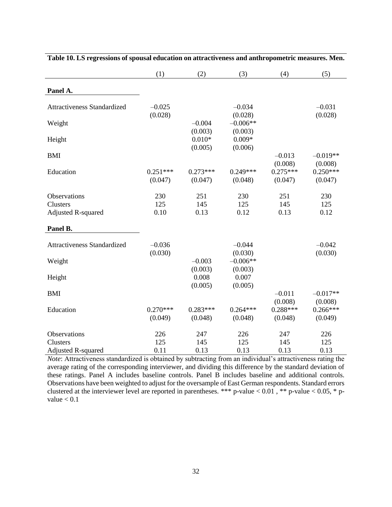|                                       | (1)                   | (2)                   | (3)                   | (4)                   | (5)                   |
|---------------------------------------|-----------------------|-----------------------|-----------------------|-----------------------|-----------------------|
| Panel A.                              |                       |                       |                       |                       |                       |
| Attractiveness Standardized           | $-0.025$<br>(0.028)   |                       | $-0.034$<br>(0.028)   |                       | $-0.031$<br>(0.028)   |
| Weight                                |                       | $-0.004$<br>(0.003)   | $-0.006**$<br>(0.003) |                       |                       |
| Height                                |                       | $0.010*$<br>(0.005)   | $0.009*$<br>(0.006)   |                       |                       |
| <b>BMI</b>                            |                       |                       |                       | $-0.013$<br>(0.008)   | $-0.019**$<br>(0.008) |
| Education                             | $0.251***$<br>(0.047) | $0.273***$<br>(0.047) | $0.249***$<br>(0.048) | $0.275***$<br>(0.047) | $0.250***$<br>(0.047) |
| Observations                          | 230                   | 251                   | 230                   | 251                   | 230                   |
| Clusters<br><b>Adjusted R-squared</b> | 125<br>0.10           | 145<br>0.13           | 125<br>0.12           | 145<br>0.13           | 125<br>0.12           |
| Panel B.                              |                       |                       |                       |                       |                       |
| <b>Attractiveness Standardized</b>    | $-0.036$<br>(0.030)   |                       | $-0.044$<br>(0.030)   |                       | $-0.042$<br>(0.030)   |
| Weight                                |                       | $-0.003$<br>(0.003)   | $-0.006**$<br>(0.003) |                       |                       |
| Height                                |                       | 0.008<br>(0.005)      | 0.007<br>(0.005)      |                       |                       |
| <b>BMI</b>                            |                       |                       |                       | $-0.011$<br>(0.008)   | $-0.017**$<br>(0.008) |
| Education                             | $0.270***$<br>(0.049) | $0.283***$<br>(0.048) | $0.264***$<br>(0.048) | $0.288***$<br>(0.048) | $0.266***$<br>(0.049) |
| Observations                          | 226                   | 247                   | 226                   | 247                   | 226                   |
| Clusters                              | 125                   | 145                   | 125                   | 145                   | 125                   |
| <b>Adjusted R-squared</b>             | 0.11                  | 0.13                  | 0.13                  | 0.13                  | 0.13                  |

**Table 10. LS regressions of spousal education on attractiveness and anthropometric measures. Men.**

*Note*: Attractiveness standardized is obtained by subtracting from an individual's attractiveness rating the average rating of the corresponding interviewer, and dividing this difference by the standard deviation of these ratings. Panel A includes baseline controls. Panel B includes baseline and additional controls. Observations have been weighted to adjust for the oversample of East German respondents. Standard errors clustered at the interviewer level are reported in parentheses. \*\*\* p-value  $< 0.01$ , \*\* p-value  $< 0.05$ , \* pvalue  $< 0.1$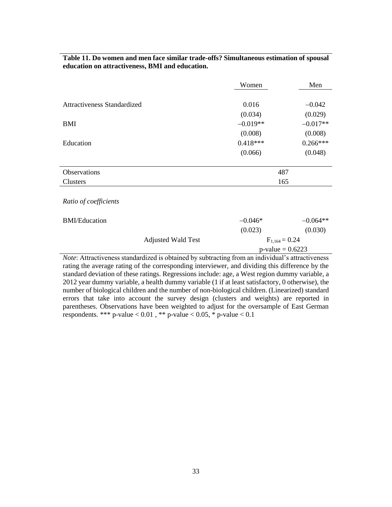|                                                                                                         | Women              | Men                 |  |  |
|---------------------------------------------------------------------------------------------------------|--------------------|---------------------|--|--|
|                                                                                                         |                    |                     |  |  |
| <b>Attractiveness Standardized</b>                                                                      | 0.016              | $-0.042$            |  |  |
|                                                                                                         | (0.034)            | (0.029)             |  |  |
| BMI                                                                                                     | $-0.019**$         | $-0.017**$          |  |  |
|                                                                                                         | (0.008)            | (0.008)             |  |  |
| Education                                                                                               | $0.418***$         | $0.266***$          |  |  |
|                                                                                                         | (0.066)            | (0.048)             |  |  |
|                                                                                                         |                    |                     |  |  |
| Observations                                                                                            | 487                |                     |  |  |
| Clusters                                                                                                |                    | 165                 |  |  |
|                                                                                                         |                    |                     |  |  |
| Ratio of coefficients                                                                                   |                    |                     |  |  |
|                                                                                                         |                    |                     |  |  |
| <b>BMI/Education</b>                                                                                    | $-0.046*$          | $-0.064**$          |  |  |
|                                                                                                         | (0.023)            | (0.030)             |  |  |
| <b>Adjusted Wald Test</b>                                                                               | $F_{1,164} = 0.24$ |                     |  |  |
|                                                                                                         |                    | $p$ -value = 0.6223 |  |  |
| <i>Note:</i> Attractiveness standardized is obtained by subtracting from an individual's attractiveness |                    |                     |  |  |
| rating the average rating of the corresponding interviewer, and dividing this difference by the         |                    |                     |  |  |

**Table 11. Do women and men face similar trade-offs? Simultaneous estimation of spousal education on attractiveness, BMI and education.**

rating the average rating of the corresponding interviewer, and dividing this difference by the standard deviation of these ratings. Regressions include: age, a West region dummy variable, a 2012 year dummy variable, a health dummy variable (1 if at least satisfactory, 0 otherwise), the number of biological children and the number of non-biological children. (Linearized) standard errors that take into account the survey design (clusters and weights) are reported in parentheses. Observations have been weighted to adjust for the oversample of East German respondents. \*\*\* p-value <  $0.01$ , \*\* p-value <  $0.05$ , \* p-value <  $0.1$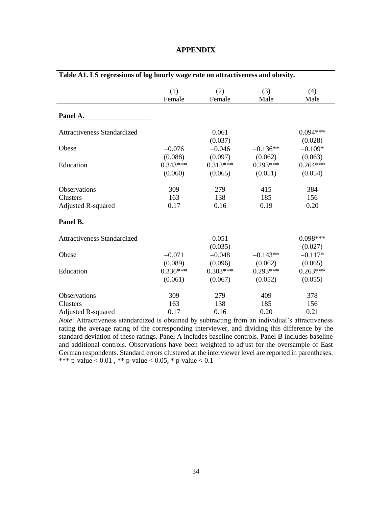| Table A1. LS regressions of log hourly wage rate on attractiveness and obesity. |                                  |                                  |                                  |                                  |  |
|---------------------------------------------------------------------------------|----------------------------------|----------------------------------|----------------------------------|----------------------------------|--|
|                                                                                 | (1)<br>Female                    | (2)<br>Female                    | (3)<br>Male                      | (4)<br>Male                      |  |
|                                                                                 |                                  |                                  |                                  |                                  |  |
| Panel A.                                                                        |                                  |                                  |                                  |                                  |  |
| <b>Attractiveness Standardized</b>                                              |                                  | 0.061<br>(0.037)                 |                                  | $0.094***$<br>(0.028)            |  |
| Obese                                                                           | $-0.076$                         | $-0.046$                         | $-0.136**$                       | $-0.109*$                        |  |
| Education                                                                       | (0.088)<br>$0.343***$<br>(0.060) | (0.097)<br>$0.313***$<br>(0.065) | (0.062)<br>$0.293***$<br>(0.051) | (0.063)<br>$0.264***$<br>(0.054) |  |
| Observations                                                                    | 309                              | 279                              | 415                              | 384                              |  |
| Clusters                                                                        | 163                              | 138                              | 185                              | 156                              |  |
| <b>Adjusted R-squared</b>                                                       | 0.17                             | 0.16                             | 0.19                             | 0.20                             |  |
| Panel B.                                                                        |                                  |                                  |                                  |                                  |  |
| <b>Attractiveness Standardized</b>                                              |                                  | 0.051<br>(0.035)                 |                                  | $0.098***$<br>(0.027)            |  |
| Obese                                                                           | $-0.071$<br>(0.089)              | $-0.048$<br>(0.096)              | $-0.143**$<br>(0.062)            | $-0.117*$<br>(0.065)             |  |
| Education                                                                       | $0.336***$<br>(0.061)            | $0.303***$<br>(0.067)            | $0.293***$<br>(0.052)            | $0.263***$<br>(0.055)            |  |
| Observations                                                                    | 309                              | 279                              | 409                              | 378                              |  |
| Clusters                                                                        | 163                              | 138                              | 185                              | 156                              |  |
| <b>Adjusted R-squared</b>                                                       | 0.17                             | 0.16                             | 0.20                             | 0.21                             |  |

#### **APPENDIX**

*Note*: Attractiveness standardized is obtained by subtracting from an individual's attractiveness rating the average rating of the corresponding interviewer, and dividing this difference by the standard deviation of these ratings. Panel A includes baseline controls. Panel B includes baseline and additional controls. Observations have been weighted to adjust for the oversample of East German respondents. Standard errors clustered at the interviewer level are reported in parentheses. \*\*\* p-value < 0.01, \*\* p-value < 0.05, \* p-value < 0.1